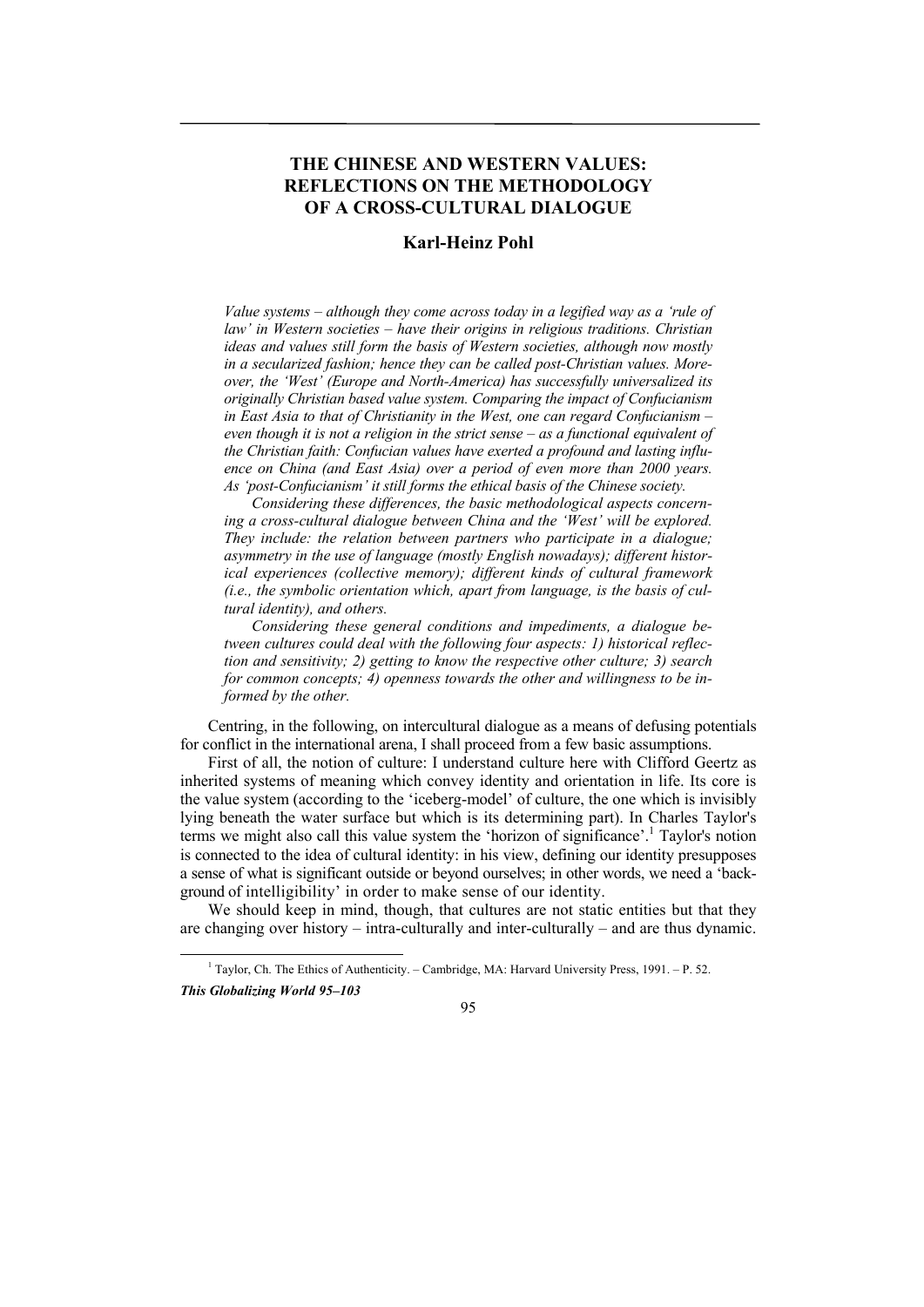# **THE CHINESE AND WESTERN VALUES: REFLECTIONS ON THE METHODOLOGY OF A CROSS-CULTURAL DIALOGUE**

### **Karl-Heinz Pohl**

*Value systems – although they come across today in a legified way as a 'rule of law' in Western societies – have their origins in religious traditions. Christian ideas and values still form the basis of Western societies, although now mostly in a secularized fashion; hence they can be called post-Christian values. Moreover, the 'West' (Europe and North-America) has successfully universalized its originally Christian based value system. Comparing the impact of Confucianism in East Asia to that of Christianity in the West, one can regard Confucianism – even though it is not a religion in the strict sense – as a functional equivalent of the Christian faith: Confucian values have exerted a profound and lasting influence on China (and East Asia) over a period of even more than 2000 years. As 'post-Confucianism' it still forms the ethical basis of the Chinese society.* 

*Considering these differences, the basic methodological aspects concerning a cross-cultural dialogue between China and the 'West' will be explored. They include: the relation between partners who participate in a dialogue; asymmetry in the use of language (mostly English nowadays); different historical experiences (collective memory); different kinds of cultural framework (i.e., the symbolic orientation which, apart from language, is the basis of cultural identity), and others.* 

*Considering these general conditions and impediments, a dialogue between cultures could deal with the following four aspects: 1) historical reflection and sensitivity; 2) getting to know the respective other culture; 3) search for common concepts; 4) openness towards the other and willingness to be informed by the other.* 

Centring, in the following, on intercultural dialogue as a means of defusing potentials for conflict in the international arena, I shall proceed from a few basic assumptions.

First of all, the notion of culture: I understand culture here with Clifford Geertz as inherited systems of meaning which convey identity and orientation in life. Its core is the value system (according to the 'iceberg-model' of culture, the one which is invisibly lying beneath the water surface but which is its determining part). In Charles Taylor's terms we might also call this value system the 'horizon of significance'.<sup>1</sup> Taylor's notion is connected to the idea of cultural identity: in his view, defining our identity presupposes a sense of what is significant outside or beyond ourselves; in other words, we need a 'background of intelligibility' in order to make sense of our identity.

We should keep in mind, though, that cultures are not static entities but that they are changing over history – intra-culturally and inter-culturally – and are thus dynamic.

95

*This Globalizing World 95–103*   $\overline{\phantom{a}}$ <sup>1</sup> Taylor, Ch. The Ethics of Authenticity. – Cambridge, MA: Harvard University Press, 1991. – P. 52.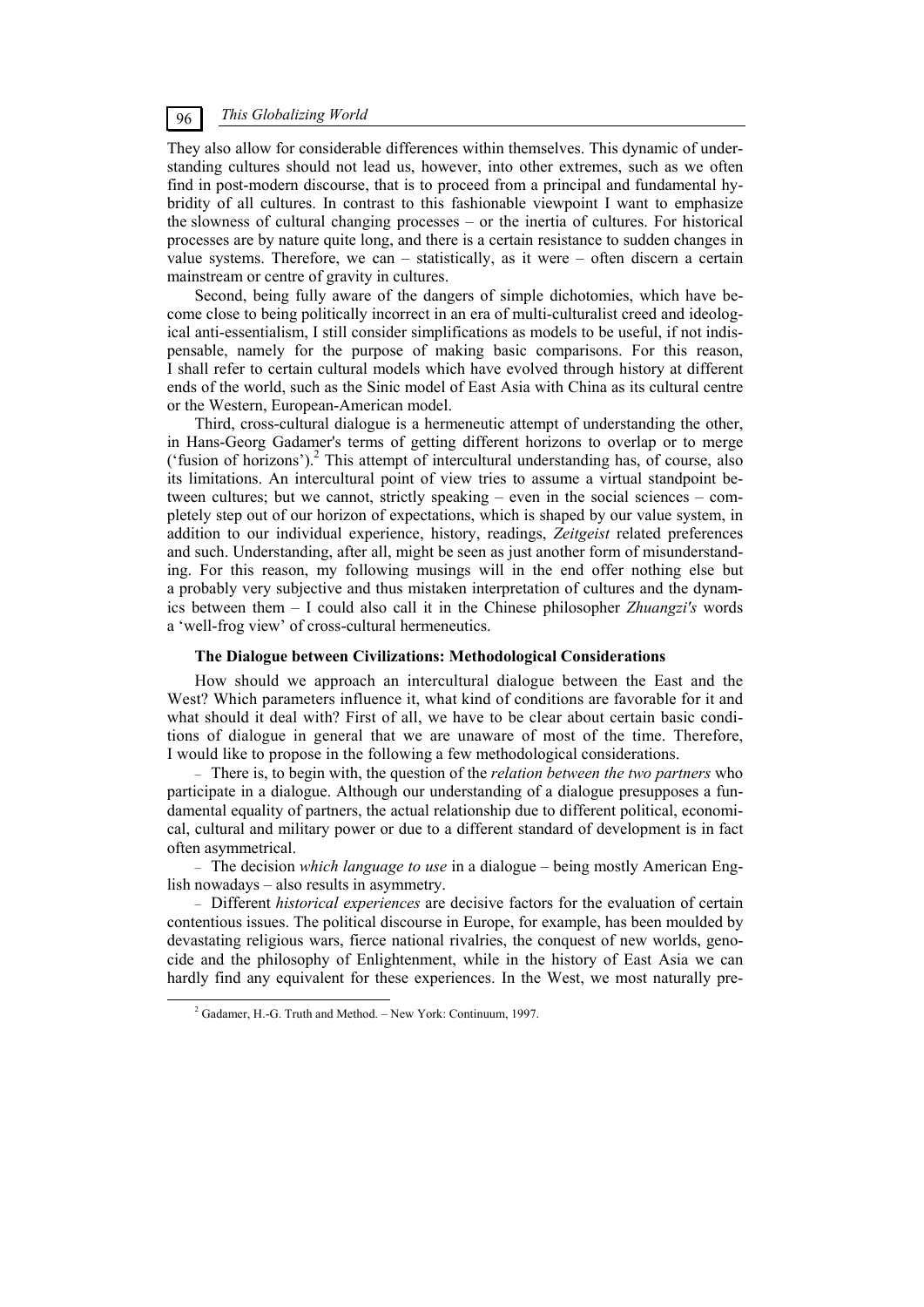They also allow for considerable differences within themselves. This dynamic of understanding cultures should not lead us, however, into other extremes, such as we often find in post-modern discourse, that is to proceed from a principal and fundamental hybridity of all cultures. In contrast to this fashionable viewpoint I want to emphasize the slowness of cultural changing processes – or the inertia of cultures. For historical processes are by nature quite long, and there is a certain resistance to sudden changes in value systems. Therefore, we can  $-$  statistically, as it were  $-$  often discern a certain mainstream or centre of gravity in cultures.

Second, being fully aware of the dangers of simple dichotomies, which have become close to being politically incorrect in an era of multi-culturalist creed and ideological anti-essentialism, I still consider simplifications as models to be useful, if not indispensable, namely for the purpose of making basic comparisons. For this reason, I shall refer to certain cultural models which have evolved through history at different ends of the world, such as the Sinic model of East Asia with China as its cultural centre or the Western, European-American model.

Third, cross-cultural dialogue is a hermeneutic attempt of understanding the other, in Hans-Georg Gadamer's terms of getting different horizons to overlap or to merge ('fusion of horizons').<sup>2</sup> This attempt of intercultural understanding has, of course, also its limitations. An intercultural point of view tries to assume a virtual standpoint between cultures; but we cannot, strictly speaking – even in the social sciences – completely step out of our horizon of expectations, which is shaped by our value system, in addition to our individual experience, history, readings, *Zeitgeist* related preferences and such. Understanding, after all, might be seen as just another form of misunderstanding. For this reason, my following musings will in the end offer nothing else but a probably very subjective and thus mistaken interpretation of cultures and the dynamics between them – I could also call it in the Chinese philosopher *Zhuangzi's* words a 'well-frog view' of cross-cultural hermeneutics.

### **The Dialogue between Civilizations: Methodological Considerations**

How should we approach an intercultural dialogue between the East and the West? Which parameters influence it, what kind of conditions are favorable for it and what should it deal with? First of all, we have to be clear about certain basic conditions of dialogue in general that we are unaware of most of the time. Therefore, I would like to propose in the following a few methodological considerations.

– There is, to begin with, the question of the *relation between the two partners* who participate in a dialogue. Although our understanding of a dialogue presupposes a fundamental equality of partners, the actual relationship due to different political, economical, cultural and military power or due to a different standard of development is in fact often asymmetrical.

– The decision *which language to use* in a dialogue – being mostly American English nowadays – also results in asymmetry.

– Different *historical experiences* are decisive factors for the evaluation of certain contentious issues. The political discourse in Europe, for example, has been moulded by devastating religious wars, fierce national rivalries, the conquest of new worlds, genocide and the philosophy of Enlightenment, while in the history of East Asia we can hardly find any equivalent for these experiences. In the West, we most naturally pre-

 $\frac{1}{2}$ <sup>2</sup> Gadamer, H.-G. Truth and Method. - New York: Continuum, 1997.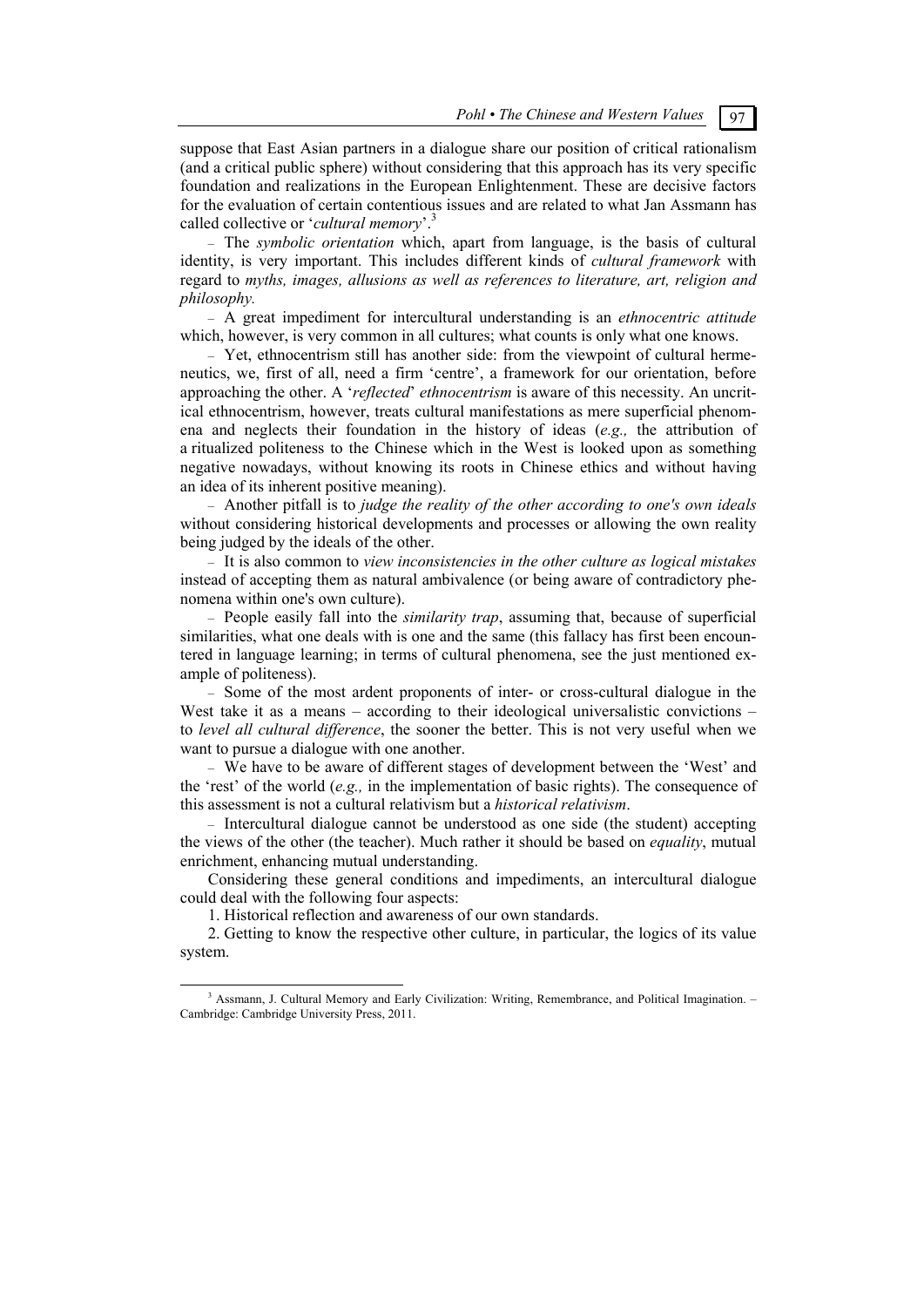suppose that East Asian partners in a dialogue share our position of critical rationalism (and a critical public sphere) without considering that this approach has its very specific foundation and realizations in the European Enlightenment. These are decisive factors for the evaluation of certain contentious issues and are related to what Jan Assmann has called collective or '*cultural memory*'.<sup>3</sup>

– The *symbolic orientation* which, apart from language, is the basis of cultural identity, is very important. This includes different kinds of *cultural framework* with regard to *myths, images, allusions as well as references to literature, art, religion and philosophy.*

– A great impediment for intercultural understanding is an *ethnocentric attitude* which, however, is very common in all cultures; what counts is only what one knows.

– Yet, ethnocentrism still has another side: from the viewpoint of cultural hermeneutics, we, first of all, need a firm 'centre', a framework for our orientation, before approaching the other. A '*reflected*' *ethnocentrism* is aware of this necessity. An uncritical ethnocentrism, however, treats cultural manifestations as mere superficial phenomena and neglects their foundation in the history of ideas (*e.g.,* the attribution of a ritualized politeness to the Chinese which in the West is looked upon as something negative nowadays, without knowing its roots in Chinese ethics and without having an idea of its inherent positive meaning).

– Another pitfall is to *judge the reality of the other according to one's own ideals* without considering historical developments and processes or allowing the own reality being judged by the ideals of the other.

– It is also common to *view inconsistencies in the other culture as logical mistakes* instead of accepting them as natural ambivalence (or being aware of contradictory phenomena within one's own culture).

– People easily fall into the *similarity trap*, assuming that, because of superficial similarities, what one deals with is one and the same (this fallacy has first been encountered in language learning; in terms of cultural phenomena, see the just mentioned example of politeness).

– Some of the most ardent proponents of inter- or cross-cultural dialogue in the West take it as a means – according to their ideological universalistic convictions – to *level all cultural difference*, the sooner the better. This is not very useful when we want to pursue a dialogue with one another.

– We have to be aware of different stages of development between the 'West' and the 'rest' of the world (*e.g.,* in the implementation of basic rights). The consequence of this assessment is not a cultural relativism but a *historical relativism*.

– Intercultural dialogue cannot be understood as one side (the student) accepting the views of the other (the teacher). Much rather it should be based on *equality*, mutual enrichment, enhancing mutual understanding.

Considering these general conditions and impediments, an intercultural dialogue could deal with the following four aspects:

1. Historical reflection and awareness of our own standards.

2. Getting to know the respective other culture, in particular, the logics of its value system.

 $\frac{3}{3}$ <sup>3</sup> Assmann, J. Cultural Memory and Early Civilization: Writing, Remembrance, and Political Imagination. – Cambridge: Cambridge University Press, 2011.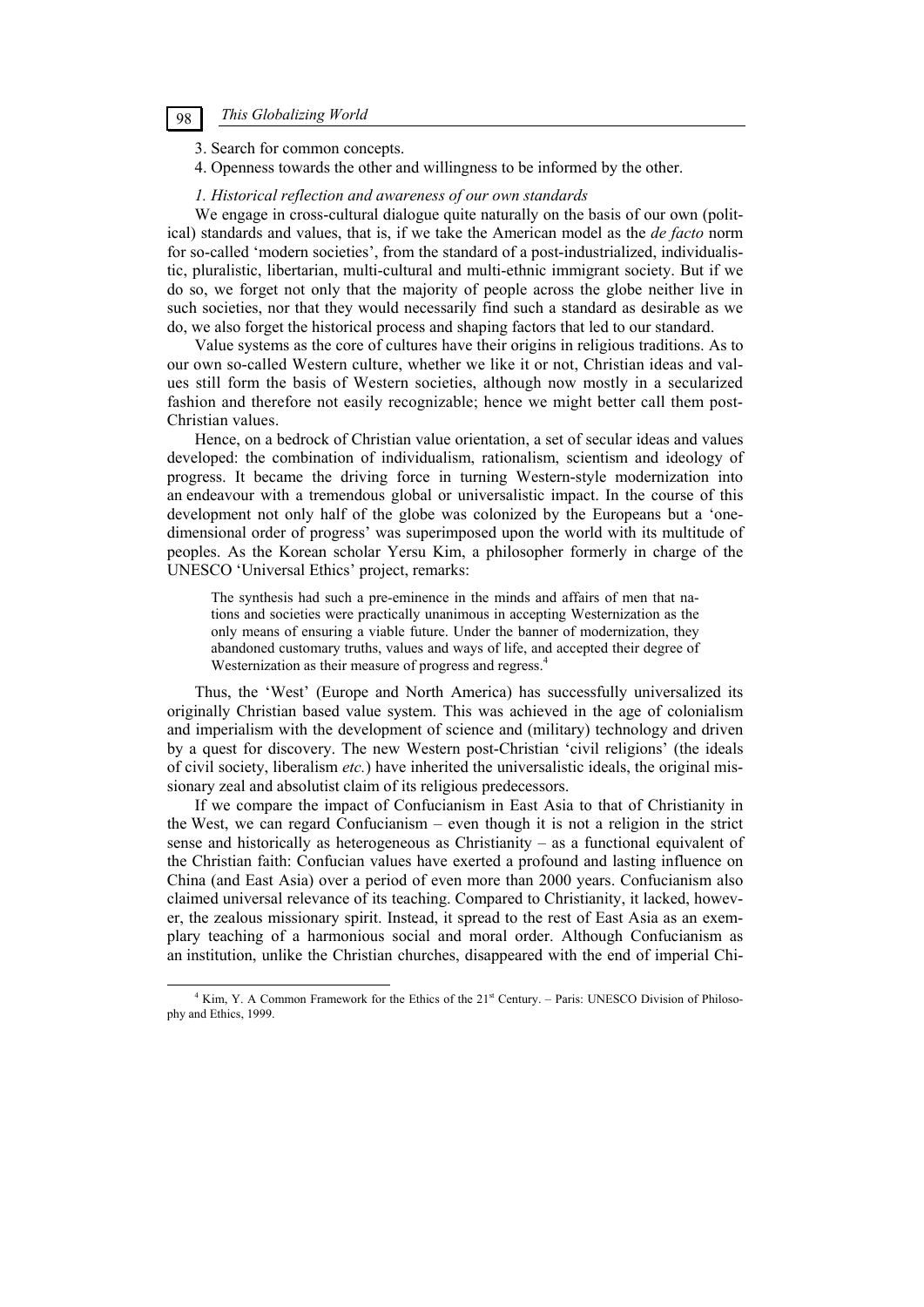- 3. Search for common concepts.
- 4. Openness towards the other and willingness to be informed by the other.
- *1. Historical reflection and awareness of our own standards*

We engage in cross-cultural dialogue quite naturally on the basis of our own (political) standards and values, that is, if we take the American model as the *de facto* norm for so-called 'modern societies', from the standard of a post-industrialized, individualistic, pluralistic, libertarian, multi-cultural and multi-ethnic immigrant society. But if we do so, we forget not only that the majority of people across the globe neither live in such societies, nor that they would necessarily find such a standard as desirable as we do, we also forget the historical process and shaping factors that led to our standard.

Value systems as the core of cultures have their origins in religious traditions. As to our own so-called Western culture, whether we like it or not, Christian ideas and values still form the basis of Western societies, although now mostly in a secularized fashion and therefore not easily recognizable; hence we might better call them post-Christian values.

Hence, on a bedrock of Christian value orientation, a set of secular ideas and values developed: the combination of individualism, rationalism, scientism and ideology of progress. It became the driving force in turning Western-style modernization into an endeavour with a tremendous global or universalistic impact. In the course of this development not only half of the globe was colonized by the Europeans but a 'onedimensional order of progress' was superimposed upon the world with its multitude of peoples. As the Korean scholar Yersu Kim, a philosopher formerly in charge of the UNESCO 'Universal Ethics' project, remarks:

The synthesis had such a pre-eminence in the minds and affairs of men that nations and societies were practically unanimous in accepting Westernization as the only means of ensuring a viable future. Under the banner of modernization, they abandoned customary truths, values and ways of life, and accepted their degree of Westernization as their measure of progress and regress.<sup>4</sup>

Thus, the 'West' (Europe and North America) has successfully universalized its originally Christian based value system. This was achieved in the age of colonialism and imperialism with the development of science and (military) technology and driven by a quest for discovery. The new Western post-Christian 'civil religions' (the ideals of civil society, liberalism *etc.*) have inherited the universalistic ideals, the original missionary zeal and absolutist claim of its religious predecessors.

If we compare the impact of Confucianism in East Asia to that of Christianity in the West, we can regard Confucianism – even though it is not a religion in the strict sense and historically as heterogeneous as Christianity – as a functional equivalent of the Christian faith: Confucian values have exerted a profound and lasting influence on China (and East Asia) over a period of even more than 2000 years. Confucianism also claimed universal relevance of its teaching. Compared to Christianity, it lacked, however, the zealous missionary spirit. Instead, it spread to the rest of East Asia as an exemplary teaching of a harmonious social and moral order. Although Confucianism as an institution, unlike the Christian churches, disappeared with the end of imperial Chi-

 $\overline{\phantom{a}}$ <sup>4</sup> Kim, Y. A Common Framework for the Ethics of the  $21<sup>st</sup>$  Century. – Paris: UNESCO Division of Philosophy and Ethics, 1999.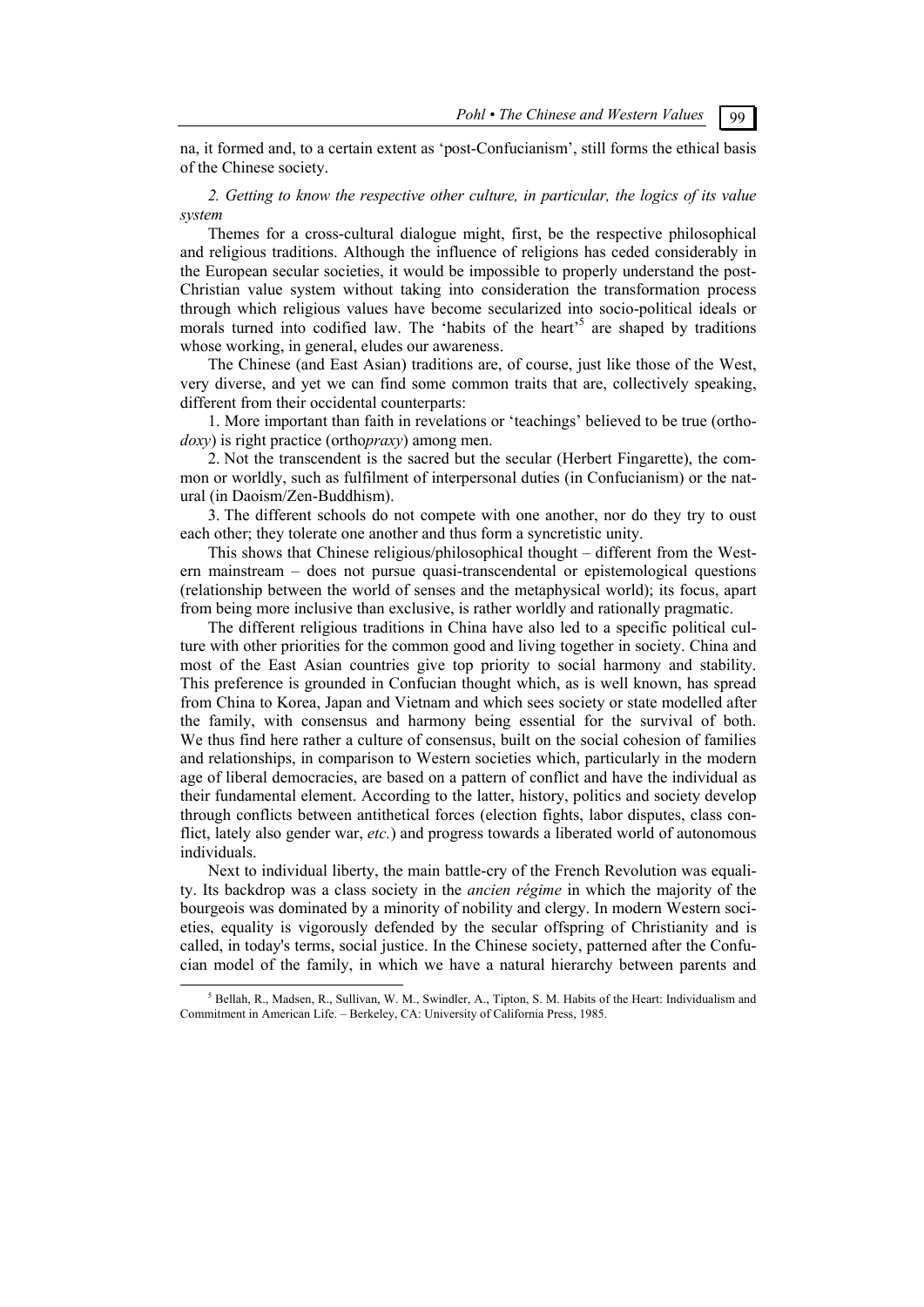na, it formed and, to a certain extent as 'post-Confucianism', still forms the ethical basis of the Chinese society.

*2. Getting to know the respective other culture, in particular, the logics of its value system* 

Themes for a cross-cultural dialogue might, first, be the respective philosophical and religious traditions. Although the influence of religions has ceded considerably in the European secular societies, it would be impossible to properly understand the post-Christian value system without taking into consideration the transformation process through which religious values have become secularized into socio-political ideals or morals turned into codified law. The 'habits of the heart'<sup>5</sup> are shaped by traditions whose working, in general, eludes our awareness.

The Chinese (and East Asian) traditions are, of course, just like those of the West, very diverse, and yet we can find some common traits that are, collectively speaking, different from their occidental counterparts:

1. More important than faith in revelations or 'teachings' believed to be true (ortho*doxy*) is right practice (ortho*praxy*) among men.

2. Not the transcendent is the sacred but the secular (Herbert Fingarette), the common or worldly, such as fulfilment of interpersonal duties (in Confucianism) or the natural (in Daoism/Zen-Buddhism).

3. The different schools do not compete with one another, nor do they try to oust each other; they tolerate one another and thus form a syncretistic unity.

This shows that Chinese religious/philosophical thought – different from the Western mainstream – does not pursue quasi-transcendental or epistemological questions (relationship between the world of senses and the metaphysical world); its focus, apart from being more inclusive than exclusive, is rather worldly and rationally pragmatic.

The different religious traditions in China have also led to a specific political culture with other priorities for the common good and living together in society. China and most of the East Asian countries give top priority to social harmony and stability. This preference is grounded in Confucian thought which, as is well known, has spread from China to Korea, Japan and Vietnam and which sees society or state modelled after the family, with consensus and harmony being essential for the survival of both. We thus find here rather a culture of consensus, built on the social cohesion of families and relationships, in comparison to Western societies which, particularly in the modern age of liberal democracies, are based on a pattern of conflict and have the individual as their fundamental element. According to the latter, history, politics and society develop through conflicts between antithetical forces (election fights, labor disputes, class conflict, lately also gender war, *etc.*) and progress towards a liberated world of autonomous individuals.

Next to individual liberty, the main battle-cry of the French Revolution was equality. Its backdrop was a class society in the *ancien régime* in which the majority of the bourgeois was dominated by a minority of nobility and clergy. In modern Western societies, equality is vigorously defended by the secular offspring of Christianity and is called, in today's terms, social justice. In the Chinese society, patterned after the Confucian model of the family, in which we have a natural hierarchy between parents and

 $\frac{1}{5}$  $<sup>5</sup>$  Bellah, R., Madsen, R., Sullivan, W. M., Swindler, A., Tipton, S. M. Habits of the Heart: Individualism and</sup> Commitment in American Life. – Berkeley, CA: University of California Press, 1985.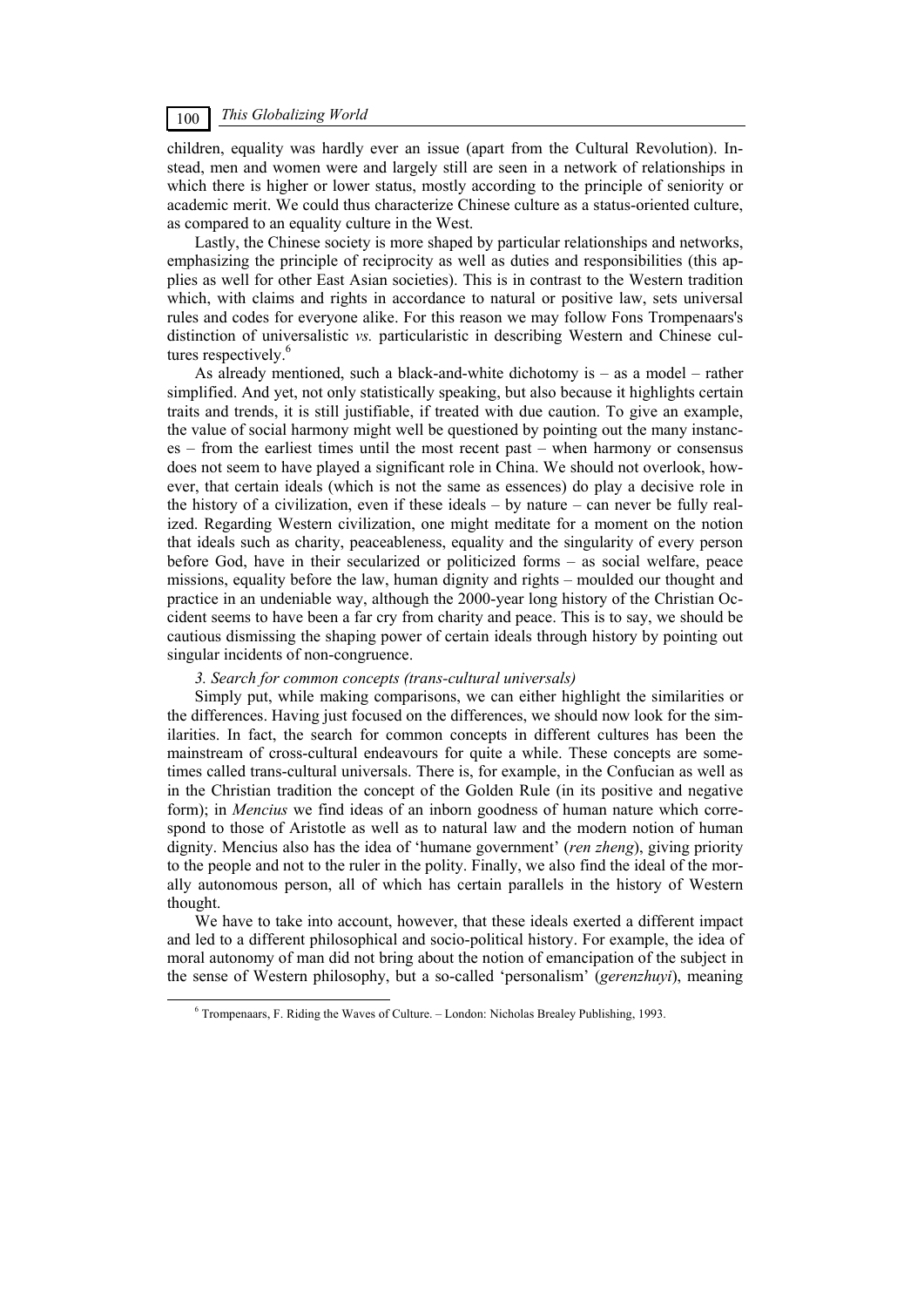children, equality was hardly ever an issue (apart from the Cultural Revolution). Instead, men and women were and largely still are seen in a network of relationships in which there is higher or lower status, mostly according to the principle of seniority or academic merit. We could thus characterize Chinese culture as a status-oriented culture, as compared to an equality culture in the West.

Lastly, the Chinese society is more shaped by particular relationships and networks, emphasizing the principle of reciprocity as well as duties and responsibilities (this applies as well for other East Asian societies). This is in contrast to the Western tradition which, with claims and rights in accordance to natural or positive law, sets universal rules and codes for everyone alike. For this reason we may follow Fons Trompenaars's distinction of universalistic *vs.* particularistic in describing Western and Chinese cultures respectively.<sup>6</sup>

As already mentioned, such a black-and-white dichotomy is – as a model – rather simplified. And yet, not only statistically speaking, but also because it highlights certain traits and trends, it is still justifiable, if treated with due caution. To give an example, the value of social harmony might well be questioned by pointing out the many instances – from the earliest times until the most recent past – when harmony or consensus does not seem to have played a significant role in China. We should not overlook, however, that certain ideals (which is not the same as essences) do play a decisive role in the history of a civilization, even if these ideals  $-$  by nature  $-$  can never be fully realized. Regarding Western civilization, one might meditate for a moment on the notion that ideals such as charity, peaceableness, equality and the singularity of every person before God, have in their secularized or politicized forms – as social welfare, peace missions, equality before the law, human dignity and rights – moulded our thought and practice in an undeniable way, although the 2000-year long history of the Christian Occident seems to have been a far cry from charity and peace. This is to say, we should be cautious dismissing the shaping power of certain ideals through history by pointing out singular incidents of non-congruence.

#### *3. Search for common concepts (trans-cultural universals)*

Simply put, while making comparisons, we can either highlight the similarities or the differences. Having just focused on the differences, we should now look for the similarities. In fact, the search for common concepts in different cultures has been the mainstream of cross-cultural endeavours for quite a while. These concepts are sometimes called trans-cultural universals. There is, for example, in the Confucian as well as in the Christian tradition the concept of the Golden Rule (in its positive and negative form); in *Mencius* we find ideas of an inborn goodness of human nature which correspond to those of Aristotle as well as to natural law and the modern notion of human dignity. Mencius also has the idea of 'humane government' (*ren zheng*), giving priority to the people and not to the ruler in the polity. Finally, we also find the ideal of the morally autonomous person, all of which has certain parallels in the history of Western thought.

We have to take into account, however, that these ideals exerted a different impact and led to a different philosophical and socio-political history. For example, the idea of moral autonomy of man did not bring about the notion of emancipation of the subject in the sense of Western philosophy, but a so-called 'personalism' (*gerenzhuyi*), meaning

 <sup>6</sup> Trompenaars, F. Riding the Waves of Culture. – London: Nicholas Brealey Publishing, 1993.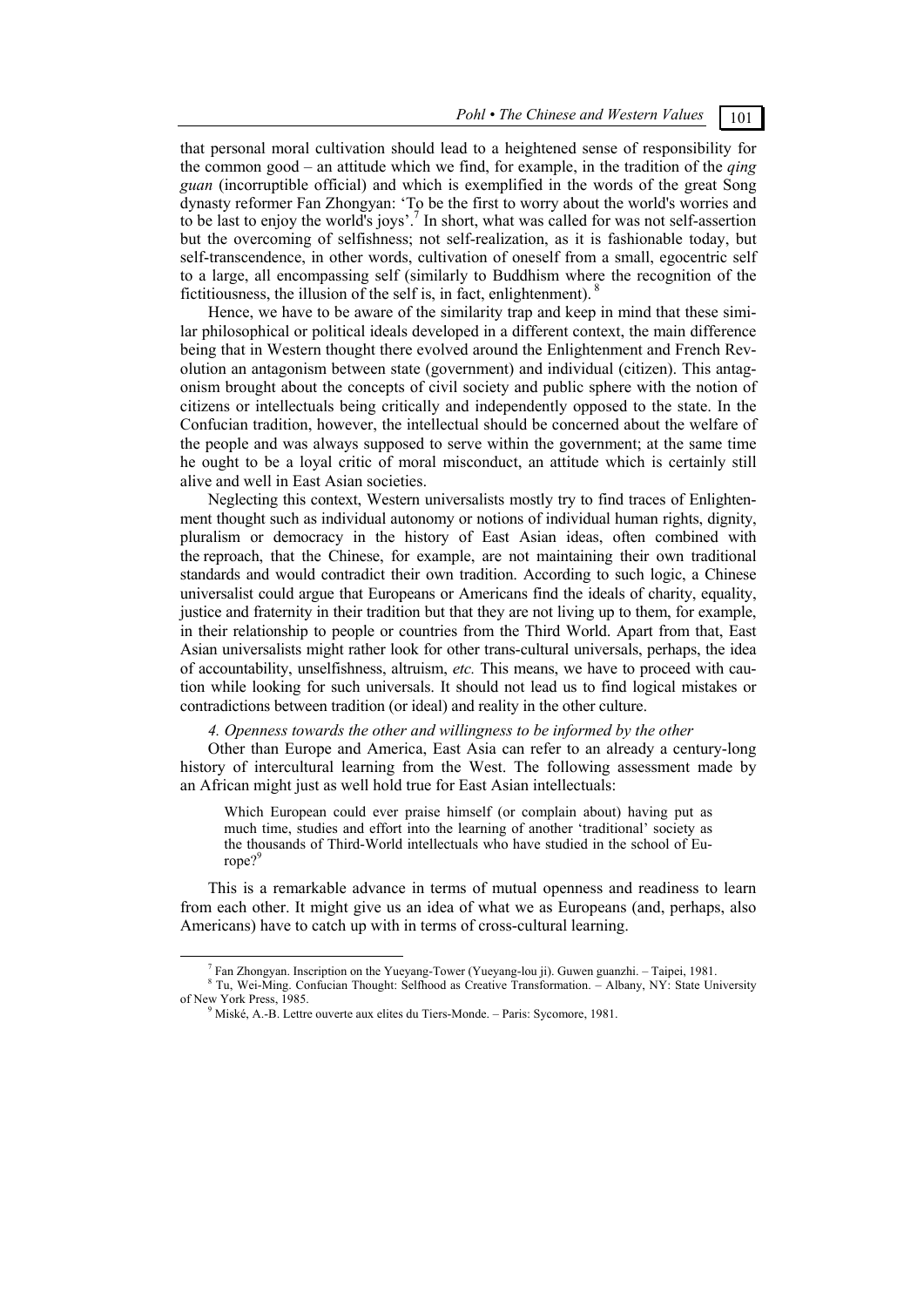that personal moral cultivation should lead to a heightened sense of responsibility for the common good – an attitude which we find, for example, in the tradition of the *qing guan* (incorruptible official) and which is exemplified in the words of the great Song dynasty reformer Fan Zhongyan: 'To be the first to worry about the world's worries and to be last to enjoy the world's joys'.<sup>7</sup> In short, what was called for was not self-assertion but the overcoming of selfishness; not self-realization, as it is fashionable today, but self-transcendence, in other words, cultivation of oneself from a small, egocentric self to a large, all encompassing self (similarly to Buddhism where the recognition of the fictitiousness, the illusion of the self is, in fact, enlightenment).

Hence, we have to be aware of the similarity trap and keep in mind that these similar philosophical or political ideals developed in a different context, the main difference being that in Western thought there evolved around the Enlightenment and French Revolution an antagonism between state (government) and individual (citizen). This antagonism brought about the concepts of civil society and public sphere with the notion of citizens or intellectuals being critically and independently opposed to the state. In the Confucian tradition, however, the intellectual should be concerned about the welfare of the people and was always supposed to serve within the government; at the same time he ought to be a loyal critic of moral misconduct, an attitude which is certainly still alive and well in East Asian societies.

Neglecting this context, Western universalists mostly try to find traces of Enlightenment thought such as individual autonomy or notions of individual human rights, dignity, pluralism or democracy in the history of East Asian ideas, often combined with the reproach, that the Chinese, for example, are not maintaining their own traditional standards and would contradict their own tradition. According to such logic, a Chinese universalist could argue that Europeans or Americans find the ideals of charity, equality, justice and fraternity in their tradition but that they are not living up to them, for example, in their relationship to people or countries from the Third World. Apart from that, East Asian universalists might rather look for other trans-cultural universals, perhaps, the idea of accountability, unselfishness, altruism, *etc.* This means, we have to proceed with caution while looking for such universals. It should not lead us to find logical mistakes or contradictions between tradition (or ideal) and reality in the other culture.

### *4. Openness towards the other and willingness to be informed by the other*

Other than Europe and America, East Asia can refer to an already a century-long history of intercultural learning from the West. The following assessment made by an African might just as well hold true for East Asian intellectuals:

Which European could ever praise himself (or complain about) having put as much time, studies and effort into the learning of another 'traditional' society as the thousands of Third-World intellectuals who have studied in the school of Europe?<sup>9</sup>

This is a remarkable advance in terms of mutual openness and readiness to learn from each other. It might give us an idea of what we as Europeans (and, perhaps, also Americans) have to catch up with in terms of cross-cultural learning.

 $\overline{7}$  Fan Zhongyan. Inscription on the Yueyang-Tower (Yueyang-lou ji). Guwen guanzhi. – Taipei, 1981. 8 <sup>8</sup> Tu, Wei-Ming. Confucian Thought: Selfhood as Creative Transformation. – Albany, NY: State University of New York Press, 1985.

<sup>&</sup>lt;sup>9</sup> Miské, A.-B. Lettre ouverte aux elites du Tiers-Monde. – Paris: Sycomore, 1981.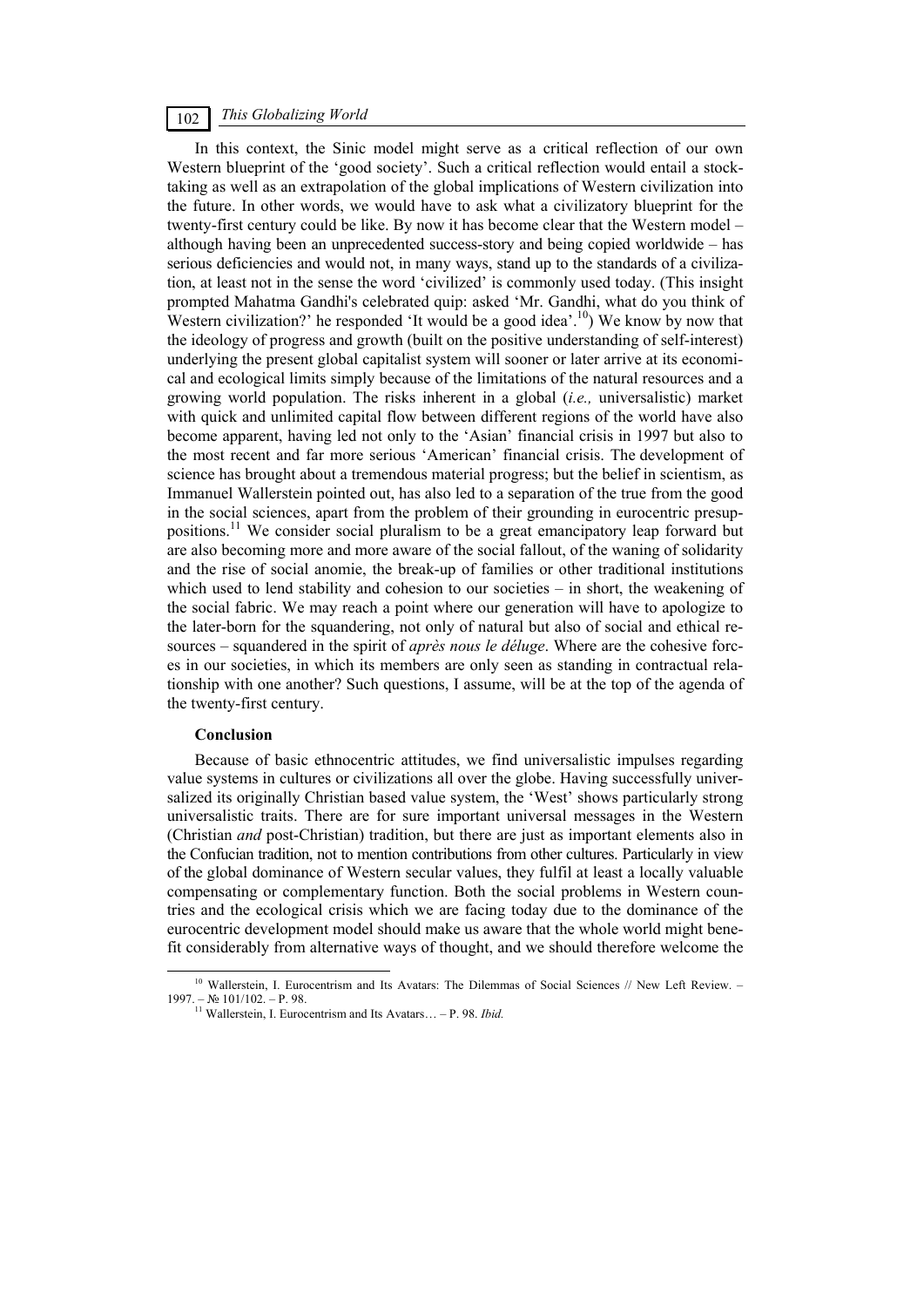In this context, the Sinic model might serve as a critical reflection of our own Western blueprint of the 'good society'. Such a critical reflection would entail a stocktaking as well as an extrapolation of the global implications of Western civilization into the future. In other words, we would have to ask what a civilizatory blueprint for the twenty-first century could be like. By now it has become clear that the Western model – although having been an unprecedented success-story and being copied worldwide – has serious deficiencies and would not, in many ways, stand up to the standards of a civilization, at least not in the sense the word 'civilized' is commonly used today. (This insight prompted Mahatma Gandhi's celebrated quip: asked 'Mr. Gandhi, what do you think of Western civilization?' he responded 'It would be a good idea'.<sup>10</sup>) We know by now that the ideology of progress and growth (built on the positive understanding of self-interest) underlying the present global capitalist system will sooner or later arrive at its economical and ecological limits simply because of the limitations of the natural resources and a growing world population. The risks inherent in a global (*i.e.,* universalistic) market with quick and unlimited capital flow between different regions of the world have also become apparent, having led not only to the 'Asian' financial crisis in 1997 but also to the most recent and far more serious 'American' financial crisis. The development of science has brought about a tremendous material progress; but the belief in scientism, as Immanuel Wallerstein pointed out, has also led to a separation of the true from the good in the social sciences, apart from the problem of their grounding in eurocentric presuppositions.<sup>11</sup> We consider social pluralism to be a great emancipatory leap forward but are also becoming more and more aware of the social fallout, of the waning of solidarity and the rise of social anomie, the break-up of families or other traditional institutions which used to lend stability and cohesion to our societies – in short, the weakening of the social fabric. We may reach a point where our generation will have to apologize to the later-born for the squandering, not only of natural but also of social and ethical resources – squandered in the spirit of *après nous le déluge*. Where are the cohesive forces in our societies, in which its members are only seen as standing in contractual relationship with one another? Such questions, I assume, will be at the top of the agenda of the twenty-first century.

### **Conclusion**

Because of basic ethnocentric attitudes, we find universalistic impulses regarding value systems in cultures or civilizations all over the globe. Having successfully universalized its originally Christian based value system, the 'West' shows particularly strong universalistic traits. There are for sure important universal messages in the Western (Christian *and* post-Christian) tradition, but there are just as important elements also in the Confucian tradition, not to mention contributions from other cultures. Particularly in view of the global dominance of Western secular values, they fulfil at least a locally valuable compensating or complementary function. Both the social problems in Western countries and the ecological crisis which we are facing today due to the dominance of the eurocentric development model should make us aware that the whole world might benefit considerably from alternative ways of thought, and we should therefore welcome the

<sup>&</sup>lt;sup>10</sup> Wallerstein, I. Eurocentrism and Its Avatars: The Dilemmas of Social Sciences // New Left Review. –<br>1997 – N<sub>0</sub> 101/102 – P 98

<sup>&</sup>lt;sup>11</sup> Wallerstein, I. Eurocentrism and Its Avatars... – P. 98. *Ibid.*